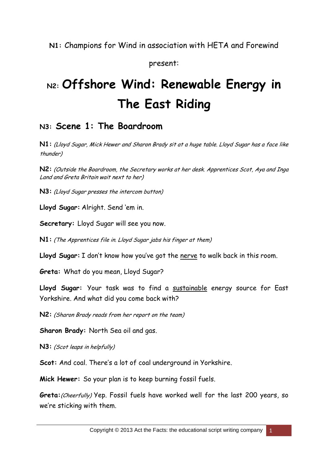**N1:** Champions for Wind in association with HETA and Forewind

present:

# **N2: Offshore Wind: Renewable Energy in The East Riding**

## **N3: Scene 1: The Boardroom**

**N1:** (Lloyd Sugar, Mick Hewer and Sharon Brady sit at a huge table. Lloyd Sugar has a face like thunder)

**N2:** (Outside the Boardroom, the Secretary works at her desk. Apprentices Scot, Aya and Inga Land and Greta Britain wait next to her)

**N3:** (Lloyd Sugar presses the intercom button)

**Lloyd Sugar:** Alright. Send 'em in.

**Secretary:** Lloyd Sugar will see you now.

**N1:** (The Apprentices file in. Lloyd Sugar jabs his finger at them)

**Lloyd Sugar:** I don't know how you've got the nerve to walk back in this room.

**Greta:** What do you mean, Lloyd Sugar?

**Lloyd Sugar:** Your task was to find a sustainable energy source for East Yorkshire. And what did you come back with?

**N2:** (Sharon Brady reads from her report on the team)

**Sharon Brady:** North Sea oil and gas.

**N3:** (Scot leaps in helpfully)

**Scot:** And coal. There's a lot of coal underground in Yorkshire.

**Mick Hewer:** So your plan is to keep burning fossil fuels.

**Greta:**(Cheerfully) Yep. Fossil fuels have worked well for the last 200 years, so we're sticking with them.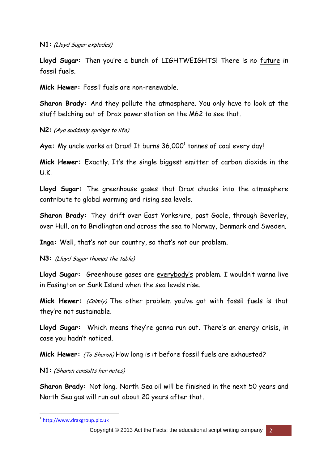**N1:** (Lloyd Sugar explodes)

**Lloyd Sugar:** Then you're a bunch of LIGHTWEIGHTS! There is no future in fossil fuels.

**Mick Hewer:** Fossil fuels are non-renewable.

**Sharon Brady:** And they pollute the atmosphere. You only have to look at the stuff belching out of Drax power station on the M62 to see that.

**N2:** (Aya suddenly springs to life)

Aya: My uncle works at Drax! It burns 36,000<sup>1</sup> tonnes of coal every day!

**Mick Hewer:** Exactly. It's the single biggest emitter of carbon dioxide in the U.K.

**Lloyd Sugar:** The greenhouse gases that Drax chucks into the atmosphere contribute to global warming and rising sea levels.

**Sharon Brady:** They drift over East Yorkshire, past Goole, through Beverley, over Hull, on to Bridlington and across the sea to Norway, Denmark and Sweden.

**Inga:** Well, that's not our country, so that's not our problem.

**N3:** (Lloyd Sugar thumps the table)

**Lloyd Sugar:** Greenhouse gases are everybody's problem. I wouldn't wanna live in Easington or Sunk Island when the sea levels rise.

Mick Hewer: (Calmly) The other problem you've got with fossil fuels is that they're not sustainable.

**Lloyd Sugar:** Which means they're gonna run out. There's an energy crisis, in case you hadn't noticed.

**Mick Hewer:** (To Sharon) How long is it before fossil fuels are exhausted?

**N1:** (Sharon consults her notes)

**Sharon Brady:** Not long. North Sea oil will be finished in the next 50 years and North Sea gas will run out about 20 years after that.

<sup>1</sup> [http://www.draxgroup.plc.uk](http://www.draxgroup.plc.uk/)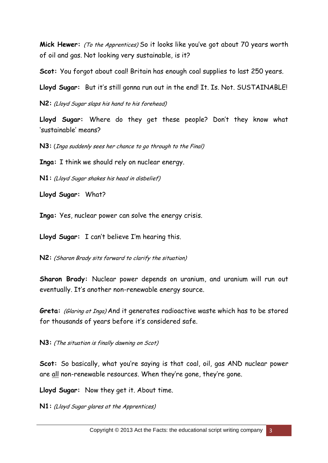**Mick Hewer:** (To the Apprentices) So it looks like you've got about 70 years worth of oil and gas. Not looking very sustainable, is it?

Scot: You forgot about coal! Britain has enough coal supplies to last 250 years.

Lloyd Sugar: But it's still gonna run out in the end! It. Is. Not. SUSTAINABLE!

**N2:** (Lloyd Sugar slaps his hand to his forehead)

**Lloyd Sugar:** Where do they get these people? Don't they know what 'sustainable' means?

**N3:** (Inga suddenly sees her chance to go through to the Final)

**Inga:** I think we should rely on nuclear energy.

**N1:** (Lloyd Sugar shakes his head in disbelief)

**Lloyd Sugar:** What?

**Inga:** Yes, nuclear power can solve the energy crisis.

**Lloyd Sugar:** I can't believe I'm hearing this.

**N2:** (Sharon Brady sits forward to clarify the situation)

**Sharon Brady:** Nuclear power depends on uranium, and uranium will run out eventually. It's another non-renewable energy source.

Greta: *(Glaring at Inga)* And it generates radioactive waste which has to be stored for thousands of years before it's considered safe.

**N3:** (The situation is finally dawning on Scot)

**Scot:** So basically, what you're saying is that coal, oil, gas AND nuclear power are all non-renewable resources. When they're gone, they're gone.

**Lloyd Sugar:** Now they get it. About time.

**N1:** (Lloyd Sugar glares at the Apprentices)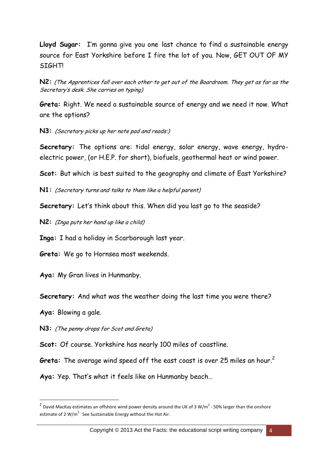**Lloyd Sugar:** I'm gonna give you one last chance to find a sustainable energy source for East Yorkshire before I fire the lot of you. Now, GET OUT OF MY **STGHTI** 

**N2:** (The Apprentices fall over each other to get out of the Boardroom. They get as far as the Secretary's desk. She carries on typing)

**Greta:** Right. We need a sustainable source of energy and we need it now. What are the options?

**N3:** (Secretary picks up her note pad and reads:)

**Secretary:** The options are: tidal energy, solar energy, wave energy, hydroelectric power, (or H.E.P. for short), biofuels, geothermal heat or wind power.

**Scot:** But which is best suited to the geography and climate of East Yorkshire?

**N1:** (Secretary turns and talks to them like a helpful parent)

**Secretary:** Let's think about this. When did you last go to the seaside?

**N2:** (Inga puts her hand up like a child)

**Inga:** I had a holiday in Scarborough last year.

**Greta:** We go to Hornsea most weekends.

**Aya:** My Gran lives in Hunmanby.

**Secretary:** And what was the weather doing the last time you were there?

**Aya:** Blowing a gale.

1

**N3:** (The penny drops for Scot and Greta)

**Scot:** Of course. Yorkshire has nearly 100 miles of coastline.

**Greta:** The average wind speed off the east coast is over 25 miles an hour. 2

**Aya:** Yep. That's what it feels like on Hunmanby beach…

<sup>&</sup>lt;sup>2</sup> David MacKay estimates an offshore wind power density around the UK of 3 W/m<sup>2</sup> - 50% larger than the onshore estimate of 2 W/m<sup>2.</sup> See Sustainable Energy without the Hot Air.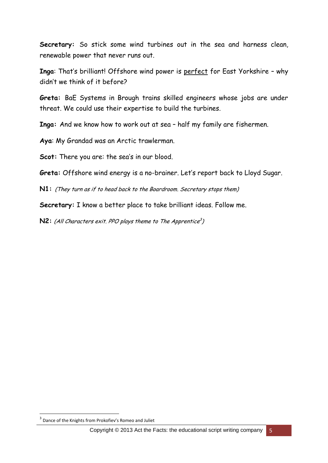**Secretary:** So stick some wind turbines out in the sea and harness clean, renewable power that never runs out.

**Inga**: That's brilliant! Offshore wind power is perfect for East Yorkshire – why didn't we think of it before?

**Greta:** BaE Systems in Brough trains skilled engineers whose jobs are under threat. We could use their expertise to build the turbines.

**Inga:** And we know how to work out at sea – half my family are fishermen.

**Aya**: My Grandad was an Arctic trawlerman.

**Scot:** There you are: the sea's in our blood.

**Greta:** Offshore wind energy is a no-brainer. Let's report back to Lloyd Sugar.

**N1:** (They turn as if to head back to the Boardroom. Secretary stops them)

**Secretary:** I know a better place to take brilliant ideas. Follow me.

**N2:** (All Characters exit. PPO plays theme to The Apprentice<sup>3</sup>)

<sup>3</sup> Dance of the Knights from Prokofiev's Romeo and Juliet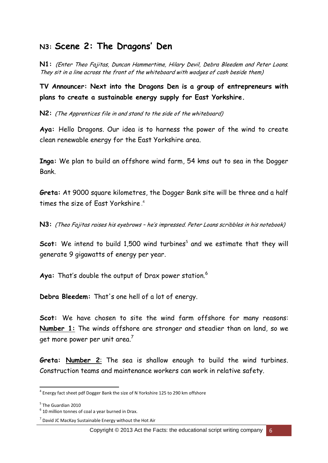#### **N3: Scene 2: The Dragons' Den**

**N1:** (Enter Theo Fajitas, Duncan Hammertime, Hilary Devil, Debra Bleedem and Peter Loans. They sit in a line across the front of the whiteboard with wodges of cash beside them)

**TV Announcer: Next into the Dragons Den is a group of entrepreneurs with plans to create a sustainable energy supply for East Yorkshire.**

**N2:** (The Apprentices file in and stand to the side of the whiteboard)

**Aya:** Hello Dragons. Our idea is to harness the power of the wind to create clean renewable energy for the East Yorkshire area.

**Inga:** We plan to build an offshore wind farm, 54 kms out to sea in the Dogger Bank.

**Greta:** At 9000 square kilometres, the Dogger Bank site will be three and a half times the size of East Yorkshire . 4

**N3:** (Theo Fajitas raises his eyebrows – he's impressed. Peter Loans scribbles in his notebook)

Scot: We intend to build 1,500 wind turbines<sup>5</sup> and we estimate that they will generate 9 gigawatts of energy per year.

Aya: That's double the output of Drax power station.<sup>6</sup>

**Debra Bleedem:** That's one hell of a lot of energy.

**Scot:** We have chosen to site the wind farm offshore for many reasons: **Number 1:** The winds offshore are stronger and steadier than on land, so we get more power per unit area. $^7$ 

**Greta: Number 2**: The sea is shallow enough to build the wind turbines. Construction teams and maintenance workers can work in relative safety.

<sup>&</sup>lt;sup>4</sup> Energy fact sheet pdf Dogger Bank the size of N Yorkshire 125 to 290 km offshore

<sup>&</sup>lt;sup>5</sup> The Guardian 2010

 $6$  10 million tonnes of coal a year burned in Drax.

 $<sup>7</sup>$  David JC MacKay Sustainable Energy without the Hot Air</sup>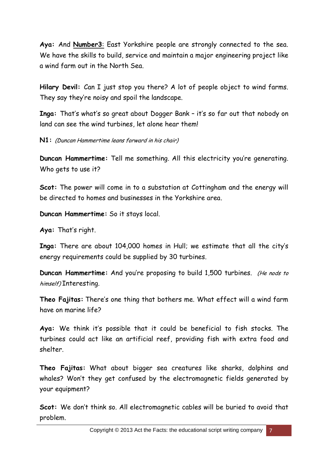**Aya:** And **Number3**: East Yorkshire people are strongly connected to the sea. We have the skills to build, service and maintain a major engineering project like a wind farm out in the North Sea.

**Hilary Devil:** Can I just stop you there? A lot of people object to wind farms. They say they're noisy and spoil the landscape.

**Inga:** That's what's so great about Dogger Bank – it's so far out that nobody on land can see the wind turbines, let alone hear them!

**N1:** (Duncan Hammertime leans forward in his chair)

**Duncan Hammertime:** Tell me something. All this electricity you're generating. Who gets to use it?

**Scot:** The power will come in to a substation at Cottingham and the energy will be directed to homes and businesses in the Yorkshire area.

**Duncan Hammertime:** So it stays local.

**Aya:** That's right.

**Inga:** There are about 104,000 homes in Hull; we estimate that all the city's energy requirements could be supplied by 30 turbines.

**Duncan Hammertime:** And you're proposing to build 1,500 turbines. (He nods to himself) Interesting.

**Theo Fajitas:** There's one thing that bothers me. What effect will a wind farm have on marine life?

**Aya:** We think it's possible that it could be beneficial to fish stocks. The turbines could act like an artificial reef, providing fish with extra food and shelter.

**Theo Fajitas:** What about bigger sea creatures like sharks, dolphins and whales? Won't they get confused by the electromagnetic fields generated by your equipment?

**Scot:** We don't think so. All electromagnetic cables will be buried to avoid that problem.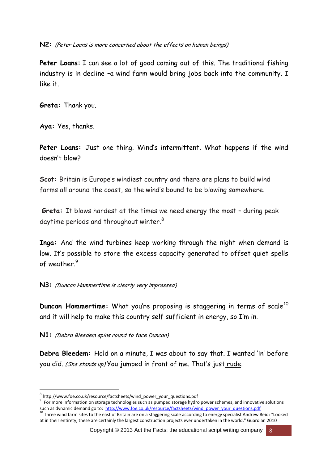**N2:** (Peter Loans is more concerned about the effects on human beings)

**Peter Loans:** I can see a lot of good coming out of this. The traditional fishing industry is in decline –a wind farm would bring jobs back into the community. I like it.

**Greta:** Thank you.

**Aya:** Yes, thanks.

**Peter Loans:** Just one thing. Wind's intermittent. What happens if the wind doesn't blow?

**Scot:** Britain is Europe's windiest country and there are plans to build wind farms all around the coast, so the wind's bound to be blowing somewhere.

**Greta:** It blows hardest at the times we need energy the most – during peak daytime periods and throughout winter.<sup>8</sup>

**Inga:** And the wind turbines keep working through the night when demand is low. It's possible to store the excess capacity generated to offset quiet spells of weather. 9

**N3:** (Duncan Hammertime is clearly very impressed)

**Duncan Hammertime:** What you're proposing is staggering in terms of scale<sup>10</sup> and it will help to make this country self sufficient in energy, so I'm in.

**N1:** (Debra Bleedem spins round to face Duncan)

1

**Debra Bleedem:** Hold on a minute, I was about to say that. I wanted 'in' before you did. (She stands up) You jumped in front of me. That's just rude.

Copyright © 2013 Act the Facts: the educational script writing company 8

<sup>8</sup> http://www.foe.co.uk/resource/factsheets/wind\_power\_your\_questions.pdf

<sup>&</sup>lt;sup>9</sup> For more information on storage technologies such as pumped storage hydro power schemes, and innovative solutions such as dynamic demand go to: [http://www.foe.co.uk/resource/factsheets/wind\\_power\\_your\\_questions.pdf](http://www.foe.co.uk/resource/factsheets/wind_power_your_questions.pdf)

<sup>&</sup>lt;sup>10</sup> Three wind farm sites to the east of Britain are on a staggering scale according to energy specialist Andrew Reid: "Looked at in their entirety, these are certainly the largest construction projects ever undertaken in the world." Guardian 2010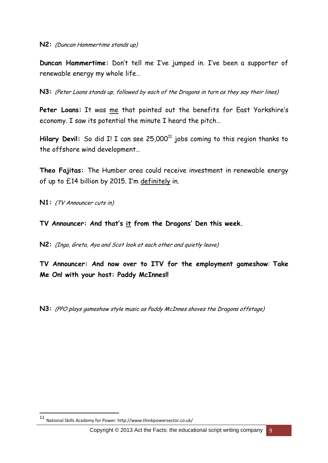**Duncan Hammertime:** Don't tell me I've jumped in. I've been a supporter of renewable energy my whole life…

**N3:** (Peter Loans stands up, followed by each of the Dragons in turn as they say their lines)

**Peter Loans:** It was me that pointed out the benefits for East Yorkshire's economy. I saw its potential the minute I heard the pitch…

Hilary Devil: So did I! I can see 25,000<sup>11</sup> jobs coming to this region thanks to the offshore wind development…

**Theo Fajitas:** The Humber area could receive investment in renewable energy of up to £14 billion by 2015. I'm definitely in.

**N1:** (TV Announcer cuts in)

**TV Announcer: And that's it from the Dragons' Den this week.**

**N2:** (Inga, Greta, Aya and Scot look at each other and quietly leave)

**TV Announcer: And now over to ITV for the employment gameshow**: **Take Me On! with your host: Paddy McInnes!!**

**N3:** (PPO plays gameshow style music as Paddy McInnes shoves the Dragons offstage)

 $11$ <sup>11</sup> National Skills Academy for Power: http://www.thinkpowersector.co.uk/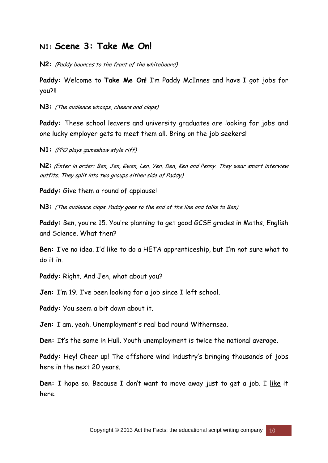## **N1: Scene 3: Take Me On!**

**N2:** (Paddy bounces to the front of the whiteboard)

**Paddy:** Welcome to **Take Me On!** I'm Paddy McInnes and have I got jobs for you?!!

**N3:** (The audience whoops, cheers and claps)

**Paddy:** These school leavers and university graduates are looking for jobs and one lucky employer gets to meet them all. Bring on the job seekers!

**N1:** (PPO plays gameshow style riff)

**N2:** (Enter in order: Ben, Jen, Gwen, Len, Yen, Den, Ken and Penny. They wear smart interview outfits. They split into two groups either side of Paddy)

**Paddy:** Give them a round of applause!

**N3:** (The audience claps. Paddy goes to the end of the line and talks to Ben)

**Paddy:** Ben, you're 15. You're planning to get good GCSE grades in Maths, English and Science. What then?

**Ben:** I've no idea. I'd like to do a HETA apprenticeship, but I'm not sure what to do it in.

**Paddy:** Right. And Jen, what about you?

**Jen:** I'm 19. I've been looking for a job since I left school.

**Paddy:** You seem a bit down about it.

**Jen:** I am, yeah. Unemployment's real bad round Withernsea.

**Den:** It's the same in Hull. Youth unemployment is twice the national average.

Paddy: Hey! Cheer up! The offshore wind industry's bringing thousands of jobs here in the next 20 years.

**Den:** I hope so. Because I don't want to move away just to get a job. I like it here.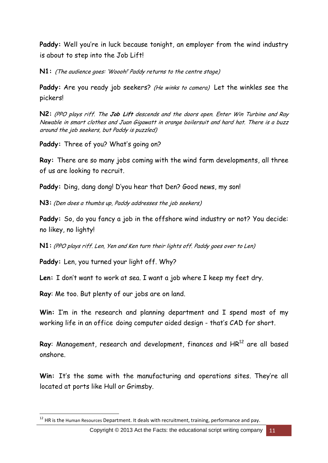**Paddy:** Well you're in luck because tonight, an employer from the wind industry is about to step into the Job Lift!

**N1:** (The audience goes: 'Woooh!' Paddy returns to the centre stage)

Paddy: Are you ready job seekers? (He winks to camera) Let the winkles see the pickers!

**N2:** (PPO plays riff. The **Job Lift** descends and the doors open. Enter Win Turbine and Ray Newable in smart clothes and Juan Gigawatt in orange boilersuit and hard hat. There is a buzz around the job seekers, but Paddy is puzzled)

**Paddy:** Three of you? What's going on?

**Ray:** There are so many jobs coming with the wind farm developments, all three of us are looking to recruit.

**Paddy:** Ding, dang dong! D'you hear that Den? Good news, my son!

**N3:** (Den does a thumbs up, Paddy addresses the job seekers)

**Paddy:** So, do you fancy a job in the offshore wind industry or not? You decide: no likey, no lighty!

**N1:** (PPO plays riff. Len, Yen and Ken turn their lights off. Paddy goes over to Len)

**Paddy:** Len, you turned your light off. Why?

**Len:** I don't want to work at sea. I want a job where I keep my feet dry.

**Ray**: Me too. But plenty of our jobs are on land.

1

**Win:** I'm in the research and planning department and I spend most of my working life in an office doing computer aided design - that's CAD for short.

Ray: Management, research and development, finances and HR<sup>12</sup> are all based onshore.

**Win:** It's the same with the manufacturing and operations sites. They're all located at ports like Hull or Grimsby.

 $^{12}$  HR is the Human Resources Department. It deals with recruitment, training, performance and pay.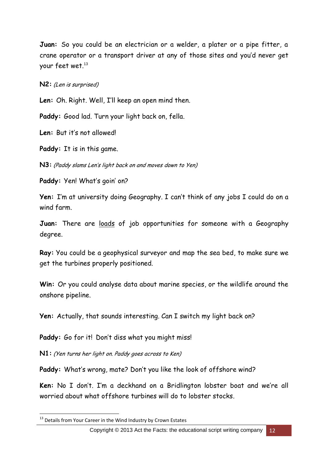**Juan:** So you could be an electrician or a welder, a plater or a pipe fitter, a crane operator or a transport driver at any of those sites and you'd never get your feet wet.<sup>13</sup>

**N2:** (Len is surprised)

**Len:** Oh. Right. Well, I'll keep an open mind then.

**Paddy:** Good lad. Turn your light back on, fella.

**Len:** But it's not allowed!

**Paddy:** It is in this game.

**N3:** (Paddy slams Len's light back on and moves down to Yen)

**Paddy:** Yen! What's goin' on?

**Yen:** I'm at university doing Geography. I can't think of any jobs I could do on a wind farm.

Juan: There are loads of job opportunities for someone with a Geography degree.

**Ray:** You could be a geophysical surveyor and map the sea bed, to make sure we get the turbines properly positioned.

**Win:** Or you could analyse data about marine species, or the wildlife around the onshore pipeline.

**Yen:** Actually, that sounds interesting. Can I switch my light back on?

Paddy: Go for it! Don't diss what you might miss!

**N1:** (Yen turns her light on. Paddy goes across to Ken)

**Paddy:** What's wrong, mate? Don't you like the look of offshore wind?

**Ken:** No I don't. I'm a deckhand on a Bridlington lobster boat and we're all worried about what offshore turbines will do to lobster stocks.

<sup>&</sup>lt;sup>13</sup> Details from Your Career in the Wind Industry by Crown Estates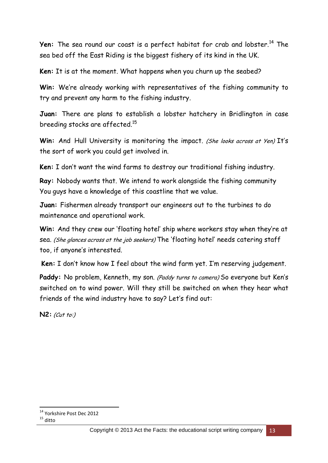**Yen:** The sea round our coast is a perfect habitat for crab and lobster.<sup>14</sup> The sea bed off the East Riding is the biggest fishery of its kind in the UK.

**Ken:** It is at the moment. What happens when you churn up the seabed?

**Win:** We're already working with representatives of the fishing community to try and prevent any harm to the fishing industry.

**Juan:** There are plans to establish a lobster hatchery in Bridlington in case breeding stocks are affected.<sup>15</sup>

Win: And Hull University is monitoring the impact. (She looks across at Yen) It's the sort of work you could get involved in.

**Ken:** I don't want the wind farms to destroy our traditional fishing industry.

**Ray:** Nobody wants that. We intend to work alongside the fishing community You guys have a knowledge of this coastline that we value.

**Juan:** Fishermen already transport our engineers out to the turbines to do maintenance and operational work.

**Win:** And they crew our 'floating hotel' ship where workers stay when they're at sea. (She glances across at the job seekers) The 'floating hotel' needs catering staff too, if anyone's interested.

**Ken:** I don't know how I feel about the wind farm yet. I'm reserving judgement.

Paddy: No problem, Kenneth, my son. (Paddy turns to camera) So everyone but Ken's switched on to wind power. Will they still be switched on when they hear what friends of the wind industry have to say? Let's find out:

**N2:** (Cut to:)

<sup>1</sup> <sup>14</sup> Yorkshire Post Dec 2012

 $15$  ditto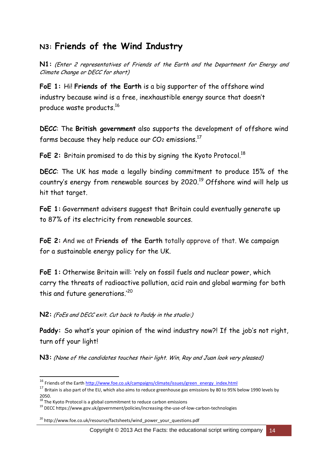# **N3: Friends of the Wind Industry**

**N1:** (Enter 2 representatives of Friends of the Earth and the Department for Energy and Climate Change or DECC for short)

**FoE 1:** Hi! **Friends of the Earth** is a big supporter of the offshore wind industry because wind is a free, inexhaustible energy source that doesn't produce waste products. 16

**DECC**: The **British government** also supports the development of offshore wind farms because they help reduce our  $CO$ 2 emissions. $^{17}$ 

FoE 2: Britain promised to do this by signing the Kyoto Protocol.<sup>18</sup>

**DECC**: The UK has made a legally binding commitment to produce [15% of the](http://ec.europa.eu/energy/renewables/index_en.htm)  country's [energy from renewable sources by 2020.](http://ec.europa.eu/energy/renewables/index_en.htm)<sup>19</sup> Offshore wind will help us hit that target.

**FoE 1:** Government advisers suggest that Britain could eventually generate up to 87% of its electricity from renewable sources.

**FoE 2:** And we at **Friends of the Earth** totally approve of that. We campaign for a sustainable energy policy for the UK.

**FoE 1:** Otherwise Britain will: 'rely on fossil fuels and nuclear power, which carry the threats of radioactive pollution, acid rain and global warming for both this and future generations.'<sup>20</sup>

**N2:** (FoEs and DECC exit. Cut back to Paddy in the studio:)

**Paddy:** So what's your opinion of the wind industry now?! If the job's not right, turn off your light!

**N3:** (None of the candidates touches their light. Win, Ray and Juan look very pleased)

<sup>&</sup>lt;sup>16</sup> Friends of the Eart[h http://www.foe.co.uk/campaigns/climate/issues/green\\_energy\\_index.html](http://www.foe.co.uk/campaigns/climate/issues/green_energy_index.html)

 $17$  Britain is also part of the EU, which also aims to reduce greenhouse gas emissions by 80 to 95% below 1990 levels by 2050.

 $18$  The Kyoto Protocol is a global commitment to reduce carbon emissions

<sup>19</sup> DECC https://www.gov.uk/government/policies/increasing-the-use-of-low-carbon-technologies

<sup>&</sup>lt;sup>20</sup> http://www.foe.co.uk/resource/factsheets/wind\_power\_your\_questions.pdf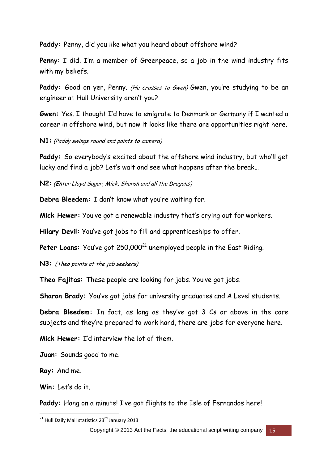**Paddy:** Penny, did you like what you heard about offshore wind?

**Penny:** I did. I'm a member of Greenpeace, so a job in the wind industry fits with my beliefs.

Paddy: Good on yer, Penny. (He crosses to Gwen) Gwen, you're studying to be an engineer at Hull University aren't you?

**Gwen:** Yes. I thought I'd have to emigrate to Denmark or Germany if I wanted a career in offshore wind, but now it looks like there are opportunities right here.

**N1:** (Paddy swings round and points to camera)

**Paddy:** So everybody's excited about the offshore wind industry, but who'll get lucky and find a job? Let's wait and see what happens after the break…

**N2:** (Enter Lloyd Sugar, Mick, Sharon and all the Dragons)

**Debra Bleedem:** I don't know what you're waiting for.

**Mick Hewer:** You've got a renewable industry that's crying out for workers.

**Hilary Devil:** You've got jobs to fill and apprenticeships to offer.

Peter Loans: You've got 250,000<sup>21</sup> unemployed people in the East Riding.

**N3:** (Theo points at the job seekers)

**Theo Fajitas:** These people are looking for jobs. You've got jobs.

**Sharon Brady:** You've got jobs for university graduates and A Level students.

**Debra Bleedem:** In fact, as long as they've got 3 Cs or above in the core subjects and they're prepared to work hard, there are jobs for everyone here.

**Mick Hewer:** I'd interview the lot of them.

**Juan:** Sounds good to me.

**Ray:** And me.

**Win:** Let's do it.

Paddy: Hang on a minute! I've got flights to the Isle of Fernandos here!

<sup>1</sup> <sup>21</sup> Hull Daily Mail statistics 23<sup>rd</sup> January 2013